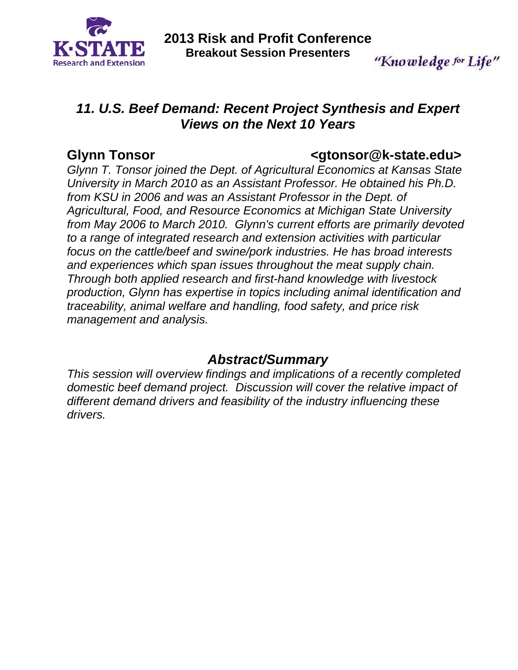

"Knowledge for Life"

## *11. U.S. Beef Demand: Recent Project Synthesis and Expert Views on the Next 10 Years*

## **Glynn Tonsor <gtonsor@k-state.edu>**

*Glynn T. Tonsor joined the Dept. of Agricultural Economics at Kansas State University in March 2010 as an Assistant Professor. He obtained his Ph.D. from KSU in 2006 and was an Assistant Professor in the Dept. of Agricultural, Food, and Resource Economics at Michigan State University from May 2006 to March 2010. Glynn's current efforts are primarily devoted to a range of integrated research and extension activities with particular focus on the cattle/beef and swine/pork industries. He has broad interests and experiences which span issues throughout the meat supply chain. Through both applied research and first-hand knowledge with livestock production, Glynn has expertise in topics including animal identification and traceability, animal welfare and handling, food safety, and price risk management and analysis.* 

## *Abstract/Summary*

*This session will overview findings and implications of a recently completed domestic beef demand project. Discussion will cover the relative impact of different demand drivers and feasibility of the industry influencing these drivers.*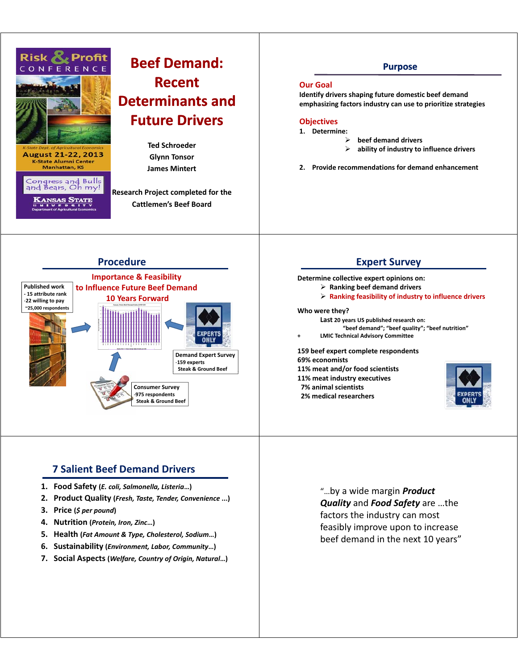

# **Beef Demand: Recent-Determinants and Future Drivers Future**

**Ted Schroeder Ted Glynn-Tonsor James Mintert James**

**Research Project completed for the Cattlemen's-Beef-Board**

### **Purpose**

#### **Our-Goal**

**Identify drivers shaping future domestic beef demand Identify drivers shaping future domestic beef emphasizing-factors-industry-can-use-to-prioritize-strategies**

#### **Objectives**

- **1. Determine:**
	- $\blacktriangleright$  $\triangleright$  beef demand drivers
	- $\triangleright$ **ability-of-industry-to-influence-drivers**
- **2. Provide recommendations for demand enhancement Provide recommendations for demand**



## **7-Salient-Beef-Demand-Drivers**

- 1. Food Safety (*E. coli, Salmonella, Listeria...*)
- **2. Product Quality Product (***Fresh Taste Tender Convenience Fresh,-Taste,-Tender,-***...)**
- 3. Price (*\$ per pound*)
- **4. Nutrition (***Protein, Iron, Zinc Protein, Iron,* **…)**
- 5. Health (Fat Amount & Type, Cholesterol, Sodium...)
- **6. Sustainability** (*Environment, Labor, Community...*)
- 7. Social Aspects (Welfare, Country of Origin, Natural...)

## **Expert-Survey**

#### **Determine collective expert opinions on:**

- $\triangleright$  Ranking beef demand drivers
	- **Ranking feasibility of industry to influence drivers Ranking feasibility of industry to influence**

#### **Who-were-they?**

- Last 20 years US published research on:
	- **"beef-demand";-"beef-quality";-"beef-nutrition"**
- **+- LMIC-Technical-Advisory-Committee**

#### **159-beef-expert-complete-respondents 69%-economists**

- **11% meat and/or food scientists 11% meat and/or food**
- **11%-meat-industry-executives**
- **7%-animal-scientists**
	- **2% medical researchers 2% medical**



"...by a wide margin **Product Quality** and **Food Safety** are ...the factors the industry can most feasibly improve upon to increase beef demand in the next 10 years"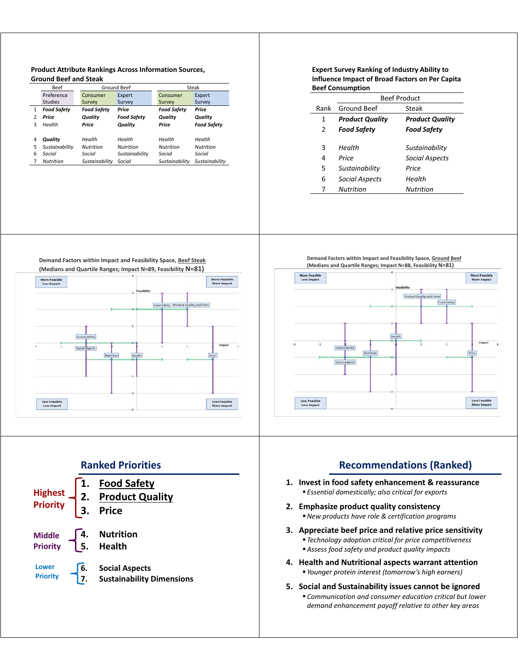#### **Product-Attribute-Ranking , s-Across-Information-Sources, Ground-Beef-and-Steak**

|   | <b>Beef</b>        | Ground Beef        |                    | Steak              |                    |
|---|--------------------|--------------------|--------------------|--------------------|--------------------|
|   | Preference         | Consumer           | Expert             | Consumer           | Expert             |
|   | <b>Studies</b>     | Survey             | Survey             | Survey             | Survey             |
|   | <b>Food Safety</b> | <b>Food Safety</b> | Price              | <b>Food Safety</b> | Price              |
| 2 | Price              | Quality            | <b>Food Safety</b> | Quality            | Quality            |
| з | Health             | Price              | Quality            | Price              | <b>Food Safety</b> |
| 4 | Quality            | Health             | Health             | Health             | Health             |
| 5 | Sustainability     | <b>Nutrition</b>   | <b>Nutrition</b>   | <b>Nutrition</b>   | <b>Nutrition</b>   |
| 6 | Social             | Social             | Sustainability     | Social             | Social             |
|   | <b>Nutrition</b>   | Sustainability     | Social             | Sustainability     | Sustainability     |

#### **Expert Survey Ranking of Industry Ability to Influence Impact of Broad Factors on Per Capita-Beef-Consumption**

|      | <b>Beef Product</b>    |                        |  |
|------|------------------------|------------------------|--|
| Rank | <b>Ground Beef</b>     | Steak                  |  |
| 1    | <b>Product Quality</b> | <b>Product Quality</b> |  |
| 2    | <b>Food Safety</b>     | <b>Food Safety</b>     |  |
|      |                        |                        |  |
| 3    | Health                 | Sustainability         |  |
| 4    | Price                  | <b>Social Aspects</b>  |  |
| 5    | Sustainability         | Price                  |  |
| 6    | Social Aspects         | Health                 |  |
| 7    | Nutrition              | <b>Nutrition</b>       |  |

Demand Factors within Impact and Feasibility Space, Beef Steak







## **Ranked-Priorities 1. Food-Safety Highest Product** Quality **Priority** 3. Price **4. Nutrition 5. Health Middle Priority Lower** 6. Social Aspects **Priority 7.** Sustainability Dimensions

### **Recommendations-(Ranked)**

- **1.** Invest in food safety enhancement & reassurance *Essential domestically; also critical for exports*
- 2. Emphasize product quality consistency *New-products-have-role-&-certification-programs*
- **3.** Appreciate beef price and relative price sensitivity **•** Technology adoption critical for price competitiveness *Assess food safety and product quality impacts Assess food safety and product quality*
- **4.** Health and Nutritional aspects warrant attention *Younger protein interest (tomorrow Younger protein interest (tomorrow s' high earners) high*
- **5.** Social and Sustainability issues cannot be ignored *Communication and consumer education critical but lower Communication and consumer education critical but demand-enhancement-payoff-relative-to-other-key-areas-*